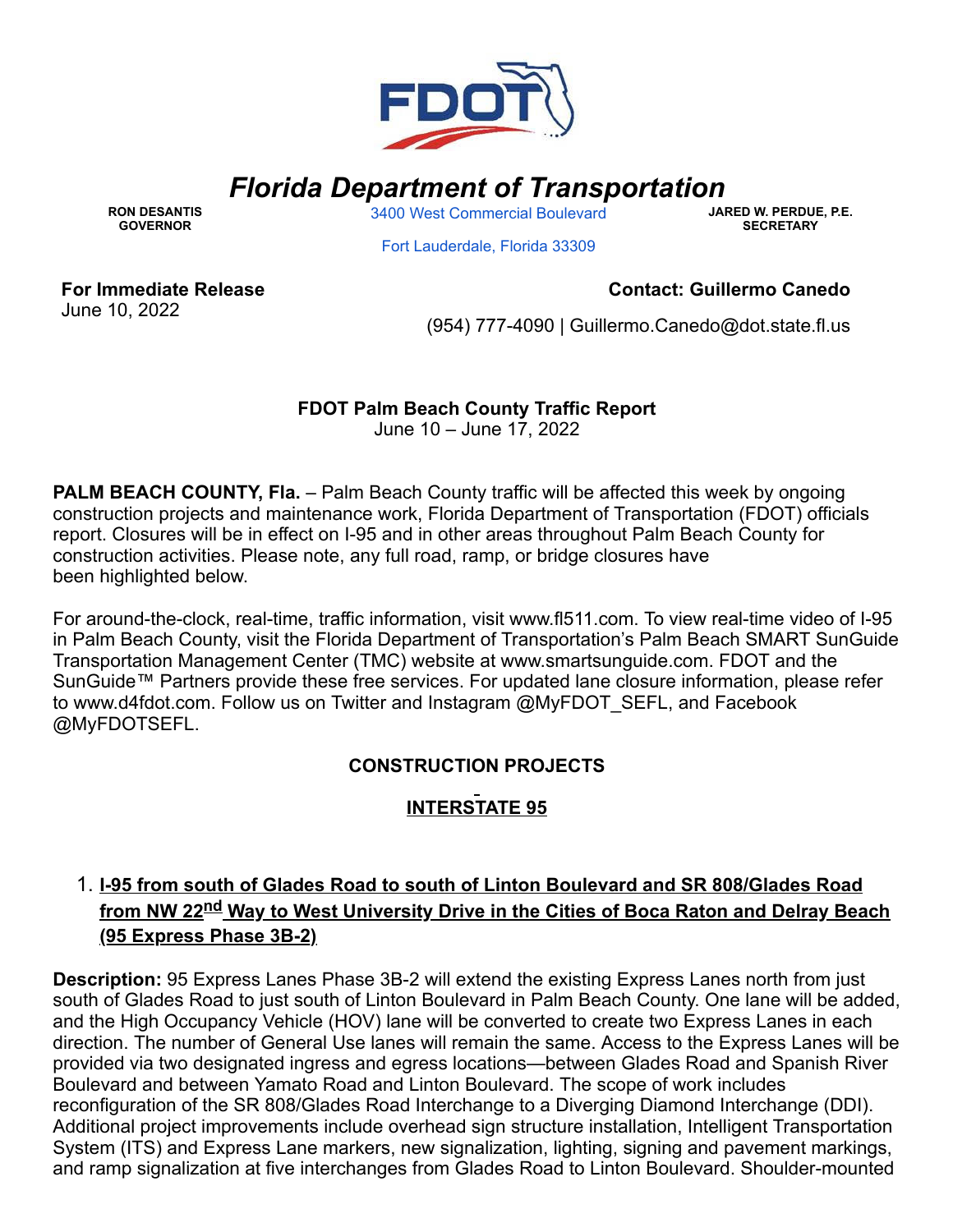

# *Florida Department of Transportation*

**RON DESANTIS GOVERNOR**

3400 West [Commercial](https://www.google.com/maps/search/3400+West+Commercial+Boulevard+%0D%0A+%0D%0A+Fort+Lauderdale,+Florida+33309?entry=gmail&source=g) Boulevard

**JARED W. PERDUE, P.E. SECRETARY**

Fort [Lauderdale,](https://www.google.com/maps/search/3400+West+Commercial+Boulevard+%0D%0A+%0D%0A+Fort+Lauderdale,+Florida+33309?entry=gmail&source=g) Florida 33309

**For Immediate Release** June 10, 2022

#### **Contact: Guillermo Canedo**

(954) 777-4090 | [Guillermo.Canedo@dot.state.fl.us](mailto:Guillermo.Canedo@dot.state.fl.us)

# **FDOT Palm Beach County Traffic Report**

June 10 – June 17, 2022

**PALM BEACH COUNTY, Fla.** – Palm Beach County traffic will be affected this week by ongoing construction projects and maintenance work, Florida Department of Transportation (FDOT) officials report. Closures will be in effect on I-95 and in other areas throughout Palm Beach County for construction activities. Please note, any full road, ramp, or bridge closures have been highlighted below.

For around-the-clock, real-time, traffic information, visit [www.fl511.com](https://gcc02.safelinks.protection.outlook.com/?url=http%3A%2F%2Fwww.fl511.com%2F&data=05%7C01%7Cguillermo.canedo%40dot.state.fl.us%7C2c216575c27e4443622008da4afc8411%7Cdb21de5dbc9c420c8f3f8f08f85b5ada%7C0%7C0%7C637904745711104045%7CUnknown%7CTWFpbGZsb3d8eyJWIjoiMC4wLjAwMDAiLCJQIjoiV2luMzIiLCJBTiI6Ik1haWwiLCJXVCI6Mn0%3D%7C3000%7C%7C%7C&sdata=yiO%2BLkZXARHY32cu2uZhNEQGVIE51z2DqGSGV%2F0rXMo%3D&reserved=0). To view real-time video of I-95 in Palm Beach County, visit the Florida Department of Transportation's Palm Beach SMART SunGuide Transportation Management Center (TMC) website at [www.smartsunguide.com](https://gcc02.safelinks.protection.outlook.com/?url=http%3A%2F%2Fwww.smartsunguide.com%2F&data=05%7C01%7Cguillermo.canedo%40dot.state.fl.us%7C2c216575c27e4443622008da4afc8411%7Cdb21de5dbc9c420c8f3f8f08f85b5ada%7C0%7C0%7C637904745711104045%7CUnknown%7CTWFpbGZsb3d8eyJWIjoiMC4wLjAwMDAiLCJQIjoiV2luMzIiLCJBTiI6Ik1haWwiLCJXVCI6Mn0%3D%7C3000%7C%7C%7C&sdata=69GG8g4eiY%2FsYE8pLOQWqzUKYNT%2BFcYEOq5OgcPTaxI%3D&reserved=0). FDOT and the SunGuide™ Partners provide these free services. For updated lane closure information, please refer to [www.d4fdot.com](https://gcc02.safelinks.protection.outlook.com/?url=http%3A%2F%2Fwww.d4fdot.com%2F&data=05%7C01%7Cguillermo.canedo%40dot.state.fl.us%7C2c216575c27e4443622008da4afc8411%7Cdb21de5dbc9c420c8f3f8f08f85b5ada%7C0%7C0%7C637904745711104045%7CUnknown%7CTWFpbGZsb3d8eyJWIjoiMC4wLjAwMDAiLCJQIjoiV2luMzIiLCJBTiI6Ik1haWwiLCJXVCI6Mn0%3D%7C3000%7C%7C%7C&sdata=xwN%2FXKLJnKCCdINQKIzWHQwaLdlkJ8DXgXYe3q5LxwU%3D&reserved=0). Follow us on Twitter and Instagram @MyFDOT\_SEFL, and Facebook @MyFDOTSEFL.

### **CONSTRUCTION PROJECTS**

# **INTERSTATE 95**

# 1. **I-95 from south of Glades Road to south of Linton Boulevard and SR 808/Glades Road from NW 22nd Way to West University Drive in the Cities of Boca Raton and Delray Beach (95 Express Phase 3B-2)**

**Description:** 95 Express Lanes Phase 3B-2 will extend the existing Express Lanes north from just south of Glades Road to just south of Linton Boulevard in Palm Beach County. One lane will be added, and the High Occupancy Vehicle (HOV) lane will be converted to create two Express Lanes in each direction. The number of General Use lanes will remain the same. Access to the Express Lanes will be provided via two designated ingress and egress locations—between Glades Road and Spanish River Boulevard and between Yamato Road and Linton Boulevard. The scope of work includes reconfiguration of the SR 808/Glades Road Interchange to a Diverging Diamond Interchange (DDI). Additional project improvements include overhead sign structure installation, Intelligent Transportation System (ITS) and Express Lane markers, new signalization, lighting, signing and pavement markings, and ramp signalization at five interchanges from Glades Road to Linton Boulevard. Shoulder-mounted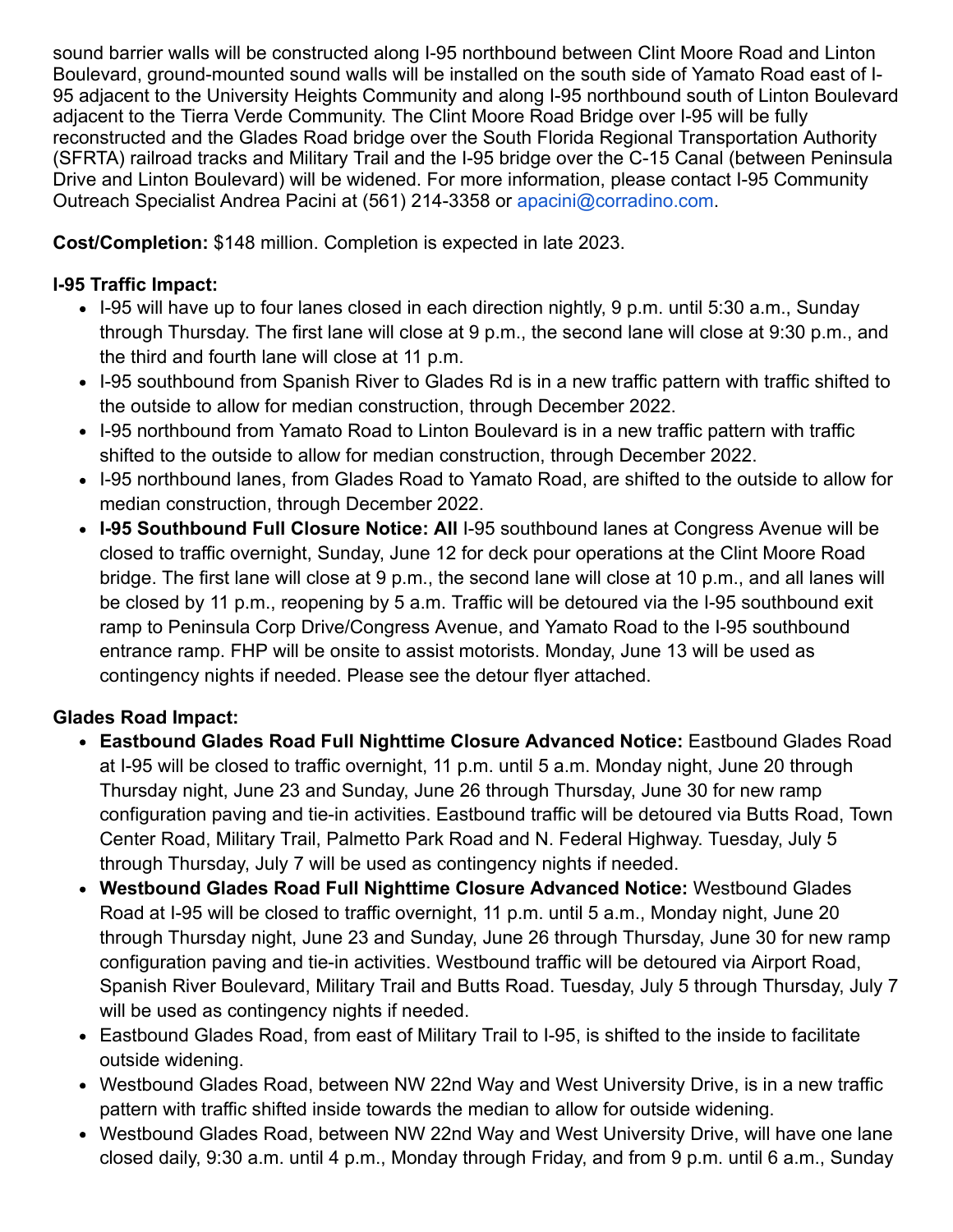sound barrier walls will be constructed along I-95 northbound between Clint Moore Road and Linton Boulevard, ground-mounted sound walls will be installed on the south side of Yamato Road east of I-95 adjacent to the University Heights Community and along I-95 northbound south of Linton Boulevard adjacent to the Tierra Verde Community. The Clint Moore Road Bridge over I-95 will be fully reconstructed and the Glades Road bridge over the South Florida Regional Transportation Authority (SFRTA) railroad tracks and Military Trail and the I-95 bridge over the C-15 Canal (between Peninsula Drive and Linton Boulevard) will be widened. For more information, please contact I-95 Community Outreach Specialist Andrea Pacini at (561) 214-3358 or [apacini@corradino.com.](mailto:apacini@corradino.com)

**Cost/Completion:** \$148 million. Completion is expected in late 2023.

### **I-95 Traffic Impact:**

- I-95 will have up to four lanes closed in each direction nightly, 9 p.m. until 5:30 a.m., Sunday through Thursday. The first lane will close at 9 p.m., the second lane will close at 9:30 p.m., and the third and fourth lane will close at 11 p.m.
- I-95 southbound from Spanish River to Glades Rd is in a new traffic pattern with traffic shifted to the outside to allow for median construction, through December 2022.
- I-95 northbound from Yamato Road to Linton Boulevard is in a new traffic pattern with traffic shifted to the outside to allow for median construction, through December 2022.
- I-95 northbound lanes, from Glades Road to Yamato Road, are shifted to the outside to allow for median construction, through December 2022.
- **I-95 Southbound Full Closure Notice: All** I-95 southbound lanes at Congress Avenue will be closed to traffic overnight, Sunday, June 12 for deck pour operations at the Clint Moore Road bridge. The first lane will close at 9 p.m., the second lane will close at 10 p.m., and all lanes will be closed by 11 p.m., reopening by 5 a.m. Traffic will be detoured via the I-95 southbound exit ramp to Peninsula Corp Drive/Congress Avenue, and Yamato Road to the I-95 southbound entrance ramp. FHP will be onsite to assist motorists. Monday, June 13 will be used as contingency nights if needed. Please see the detour flyer attached.

# **Glades Road Impact:**

- **Eastbound Glades Road Full Nighttime Closure Advanced Notice:** Eastbound Glades Road at I-95 will be closed to traffic overnight, 11 p.m. until 5 a.m. Monday night, June 20 through Thursday night, June 23 and Sunday, June 26 through Thursday, June 30 for new ramp configuration paving and tie-in activities. Eastbound traffic will be detoured via Butts Road, Town Center Road, Military Trail, Palmetto Park Road and N. Federal Highway. Tuesday, July 5 through Thursday, July 7 will be used as contingency nights if needed.
- **Westbound Glades Road Full Nighttime Closure Advanced Notice:** Westbound Glades Road at I-95 will be closed to traffic overnight, 11 p.m. until 5 a.m., Monday night, June 20 through Thursday night, June 23 and Sunday, June 26 through Thursday, June 30 for new ramp configuration paving and tie-in activities. Westbound traffic will be detoured via Airport Road, Spanish River Boulevard, Military Trail and Butts Road. Tuesday, July 5 through Thursday, July 7 will be used as contingency nights if needed.
- Eastbound Glades Road, from east of Military Trail to I-95, is shifted to the inside to facilitate outside widening.
- Westbound Glades Road, between NW 22nd Way and West University Drive, is in a new traffic pattern with traffic shifted inside towards the median to allow for outside widening.
- Westbound Glades Road, between NW 22nd Way and West University Drive, will have one lane closed daily, 9:30 a.m. until 4 p.m., Monday through Friday, and from 9 p.m. until 6 a.m., Sunday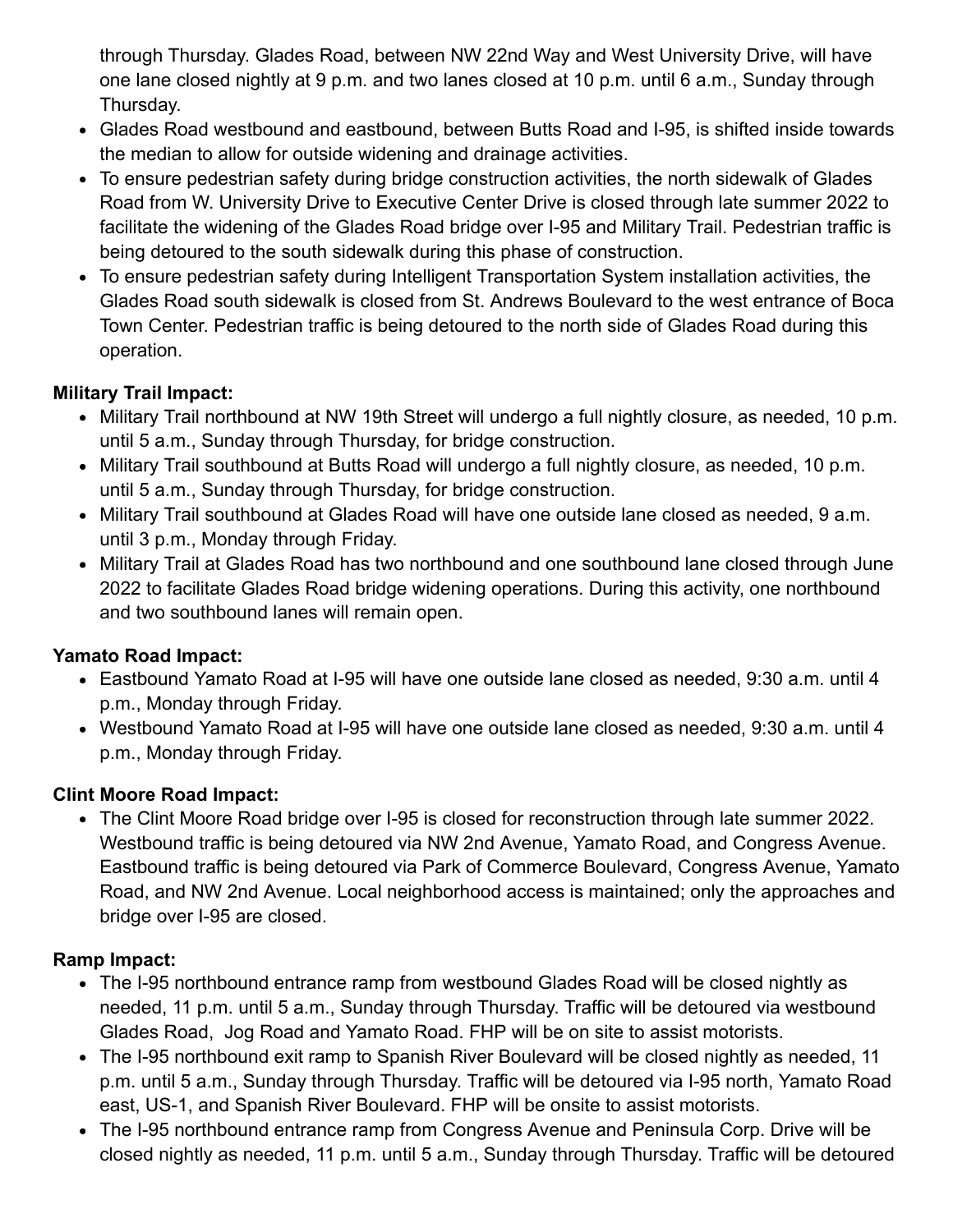through Thursday. Glades Road, between NW 22nd Way and West University Drive, will have one lane closed nightly at 9 p.m. and two lanes closed at 10 p.m. until 6 a.m., Sunday through Thursday.

- Glades Road westbound and eastbound, between Butts Road and I-95, is shifted inside towards the median to allow for outside widening and drainage activities.
- To ensure pedestrian safety during bridge construction activities, the north sidewalk of Glades Road from W. University Drive to Executive Center Drive is closed through late summer 2022 to facilitate the widening of the Glades Road bridge over I-95 and Military Trail. Pedestrian traffic is being detoured to the south sidewalk during this phase of construction.
- To ensure pedestrian safety during Intelligent Transportation System installation activities, the Glades Road south sidewalk is closed from St. Andrews Boulevard to the west entrance of Boca Town Center. Pedestrian traffic is being detoured to the north side of Glades Road during this operation.

### **Military Trail Impact:**

- Military Trail northbound at NW 19th Street will undergo a full nightly closure, as needed, 10 p.m. until 5 a.m., Sunday through Thursday, for bridge construction.
- Military Trail southbound at Butts Road will undergo a full nightly closure, as needed, 10 p.m. until 5 a.m., Sunday through Thursday, for bridge construction.
- Military Trail southbound at Glades Road will have one outside lane closed as needed, 9 a.m. until 3 p.m., Monday through Friday.
- Military Trail at Glades Road has two northbound and one southbound lane closed through June 2022 to facilitate Glades Road bridge widening operations. During this activity, one northbound and two southbound lanes will remain open.

### **Yamato Road Impact:**

- Eastbound Yamato Road at I-95 will have one outside lane closed as needed, 9:30 a.m. until 4 p.m., Monday through Friday.
- Westbound Yamato Road at I-95 will have one outside lane closed as needed, 9:30 a.m. until 4 p.m., Monday through Friday.

### **Clint Moore Road Impact:**

The Clint Moore Road bridge over I-95 is closed for reconstruction through late summer 2022. Westbound traffic is being detoured via NW 2nd Avenue, Yamato Road, and Congress Avenue. Eastbound traffic is being detoured via Park of Commerce Boulevard, Congress Avenue, Yamato Road, and NW 2nd Avenue. Local neighborhood access is maintained; only the approaches and bridge over I-95 are closed.

#### **Ramp Impact:**

- The I-95 northbound entrance ramp from westbound Glades Road will be closed nightly as needed, 11 p.m. until 5 a.m., Sunday through Thursday. Traffic will be detoured via westbound Glades Road, Jog Road and Yamato Road. FHP will be on site to assist motorists.
- The I-95 northbound exit ramp to Spanish River Boulevard will be closed nightly as needed, 11 p.m. until 5 a.m., Sunday through Thursday. Traffic will be detoured via I-95 north, Yamato Road east, US-1, and Spanish River Boulevard. FHP will be onsite to assist motorists.
- The I-95 northbound entrance ramp from Congress Avenue and Peninsula Corp. Drive will be closed nightly as needed, 11 p.m. until 5 a.m., Sunday through Thursday. Traffic will be detoured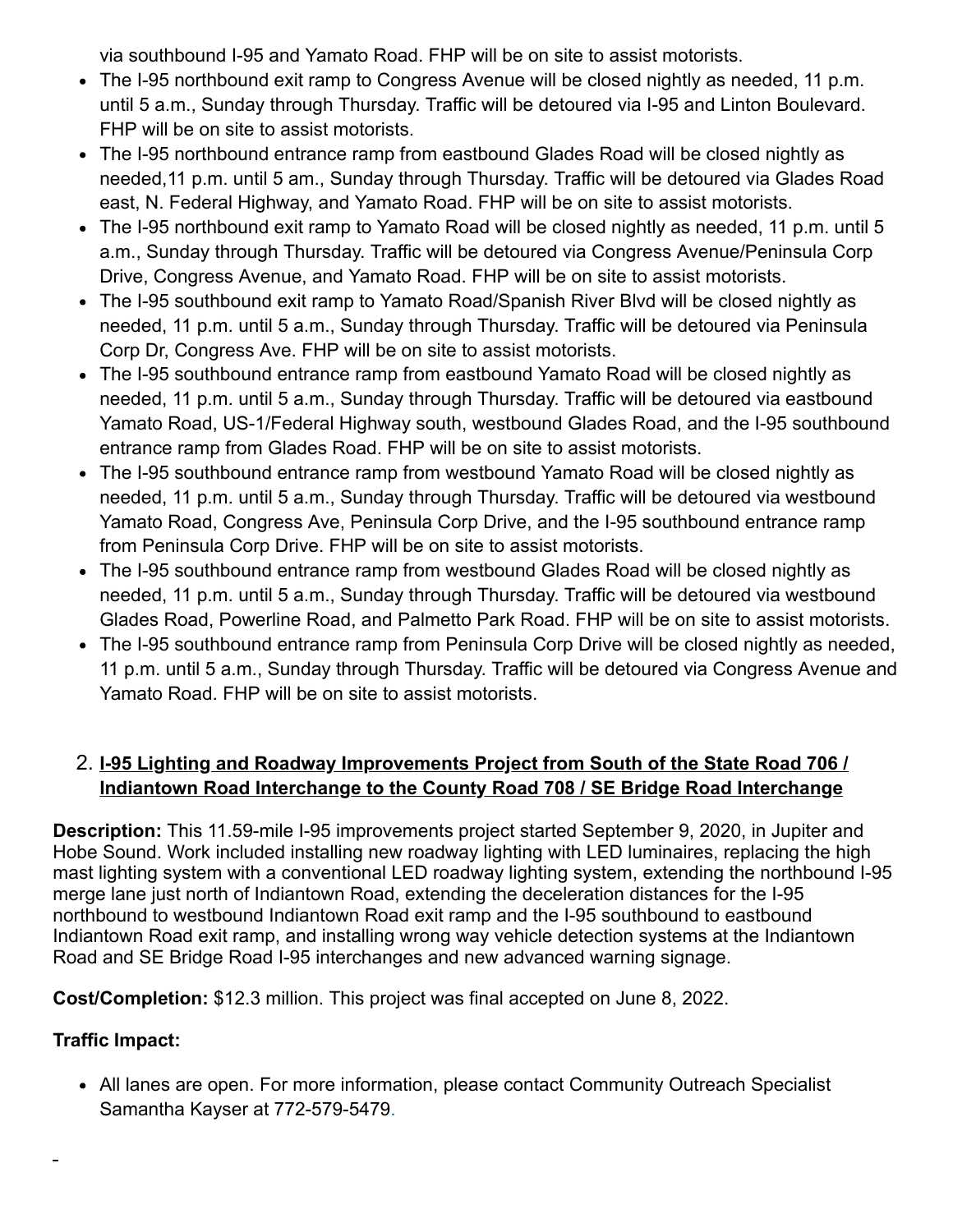via southbound I-95 and Yamato Road. FHP will be on site to assist motorists.

- The I-95 northbound exit ramp to Congress Avenue will be closed nightly as needed, 11 p.m. until 5 a.m., Sunday through Thursday. Traffic will be detoured via I-95 and Linton Boulevard. FHP will be on site to assist motorists.
- The I-95 northbound entrance ramp from eastbound Glades Road will be closed nightly as needed,11 p.m. until 5 am., Sunday through Thursday. Traffic will be detoured via Glades Road east, N. Federal Highway, and Yamato Road. FHP will be on site to assist motorists.
- The I-95 northbound exit ramp to Yamato Road will be closed nightly as needed, 11 p.m. until 5 a.m., Sunday through Thursday. Traffic will be detoured via Congress Avenue/Peninsula Corp Drive, Congress Avenue, and Yamato Road. FHP will be on site to assist motorists.
- The I-95 southbound exit ramp to Yamato Road/Spanish River Blvd will be closed nightly as needed, 11 p.m. until 5 a.m., Sunday through Thursday. Traffic will be detoured via Peninsula Corp Dr, Congress Ave. FHP will be on site to assist motorists.
- The I-95 southbound entrance ramp from eastbound Yamato Road will be closed nightly as needed, 11 p.m. until 5 a.m., Sunday through Thursday. Traffic will be detoured via eastbound Yamato Road, US-1/Federal Highway south, westbound Glades Road, and the I-95 southbound entrance ramp from Glades Road. FHP will be on site to assist motorists.
- The I-95 southbound entrance ramp from westbound Yamato Road will be closed nightly as needed, 11 p.m. until 5 a.m., Sunday through Thursday. Traffic will be detoured via westbound Yamato Road, Congress Ave, Peninsula Corp Drive, and the I-95 southbound entrance ramp from Peninsula Corp Drive. FHP will be on site to assist motorists.
- The I-95 southbound entrance ramp from westbound Glades Road will be closed nightly as needed, 11 p.m. until 5 a.m., Sunday through Thursday. Traffic will be detoured via westbound Glades Road, Powerline Road, and Palmetto Park Road. FHP will be on site to assist motorists.
- The I-95 southbound entrance ramp from Peninsula Corp Drive will be closed nightly as needed, 11 p.m. until 5 a.m., Sunday through Thursday. Traffic will be detoured via Congress Avenue and Yamato Road. FHP will be on site to assist motorists.

### 2. **I-95 Lighting and Roadway Improvements Project from South of the State Road 706 / Indiantown Road Interchange to the County Road 708 / SE Bridge Road Interchange**

**Description:** This 11.59-mile I-95 improvements project started September 9, 2020, in Jupiter and Hobe Sound. Work included installing new roadway lighting with LED luminaires, replacing the high mast lighting system with a conventional LED roadway lighting system, extending the northbound I-95 merge lane just north of Indiantown Road, extending the deceleration distances for the I-95 northbound to westbound Indiantown Road exit ramp and the I-95 southbound to eastbound Indiantown Road exit ramp, and installing wrong way vehicle detection systems at the Indiantown Road and SE Bridge Road I-95 interchanges and new advanced warning signage.

**Cost/Completion:** \$12.3 million. This project was final accepted on June 8, 2022.

### **Traffic Impact:**

All lanes are open. For more information, please contact Community Outreach Specialist Samantha Kayser at 772-579-5479.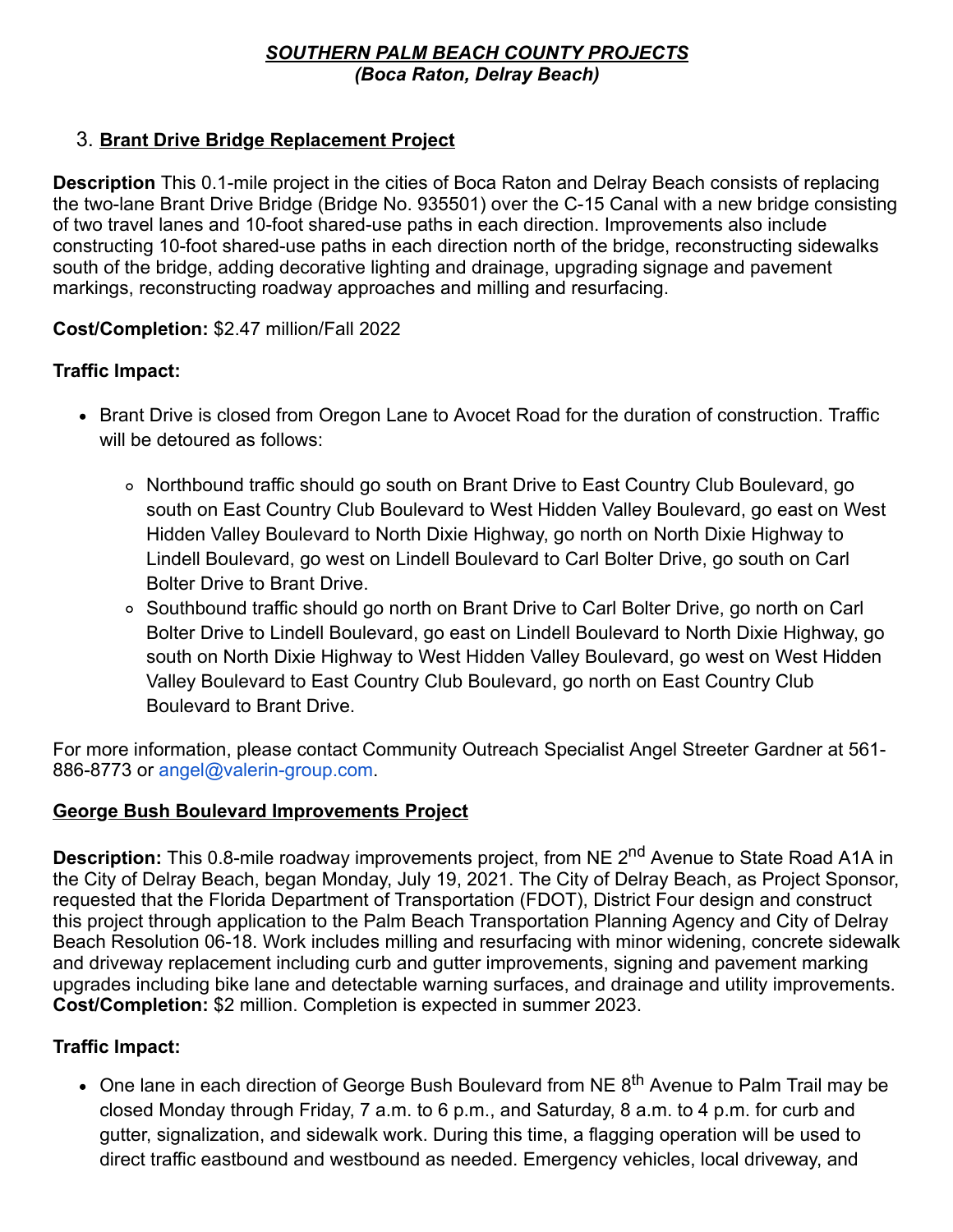#### *SOUTHERN PALM BEACH COUNTY PROJECTS (Boca Raton, Delray Beach)*

### 3. **Brant Drive Bridge Replacement Project**

**Description** This 0.1-mile project in the cities of Boca Raton and Delray Beach consists of replacing the two-lane Brant Drive Bridge (Bridge No. 935501) over the C-15 Canal with a new bridge consisting of two travel lanes and 10-foot shared-use paths in each direction. Improvements also include constructing 10-foot shared-use paths in each direction north of the bridge, reconstructing sidewalks south of the bridge, adding decorative lighting and drainage, upgrading signage and pavement markings, reconstructing roadway approaches and milling and resurfacing.

#### **Cost/Completion:** \$2.47 million/Fall 2022

#### **Traffic Impact:**

- Brant Drive is closed from Oregon Lane to Avocet Road for the duration of construction. Traffic will be detoured as follows:
	- Northbound traffic should go south on Brant Drive to East Country Club Boulevard, go south on East Country Club Boulevard to West Hidden Valley Boulevard, go east on West Hidden Valley Boulevard to North Dixie Highway, go north on North Dixie Highway to Lindell Boulevard, go west on Lindell Boulevard to Carl Bolter Drive, go south on Carl Bolter Drive to Brant Drive.
	- Southbound traffic should go north on Brant Drive to Carl Bolter Drive, go north on Carl Bolter Drive to Lindell Boulevard, go east on Lindell Boulevard to North Dixie Highway, go south on North Dixie Highway to West Hidden Valley Boulevard, go west on West Hidden Valley Boulevard to East Country Club Boulevard, go north on East Country Club Boulevard to Brant Drive.

For more information, please contact Community Outreach Specialist Angel Streeter Gardner at 561- 886-8773 or [angel@valerin-group.com.](mailto:angel@valerin-group.com)

#### **George Bush Boulevard Improvements Project**

**Description:** This 0.8-mile roadway improvements project, from NE 2<sup>nd</sup> Avenue to State Road A1A in the City of Delray Beach, began Monday, July 19, 2021. The City of Delray Beach, as Project Sponsor, requested that the Florida Department of Transportation (FDOT), District Four design and construct this project through application to the Palm Beach Transportation Planning Agency and City of Delray Beach Resolution 06-18. Work includes milling and resurfacing with minor widening, concrete sidewalk and driveway replacement including curb and gutter improvements, signing and pavement marking upgrades including bike lane and detectable warning surfaces, and drainage and utility improvements. **Cost/Completion:** \$2 million. Completion is expected in summer 2023.

### **Traffic Impact:**

• One lane in each direction of George Bush Boulevard from NE 8<sup>th</sup> Avenue to Palm Trail may be closed Monday through Friday, 7 a.m. to 6 p.m., and Saturday, 8 a.m. to 4 p.m. for curb and gutter, signalization, and sidewalk work. During this time, a flagging operation will be used to direct traffic eastbound and westbound as needed. Emergency vehicles, local driveway, and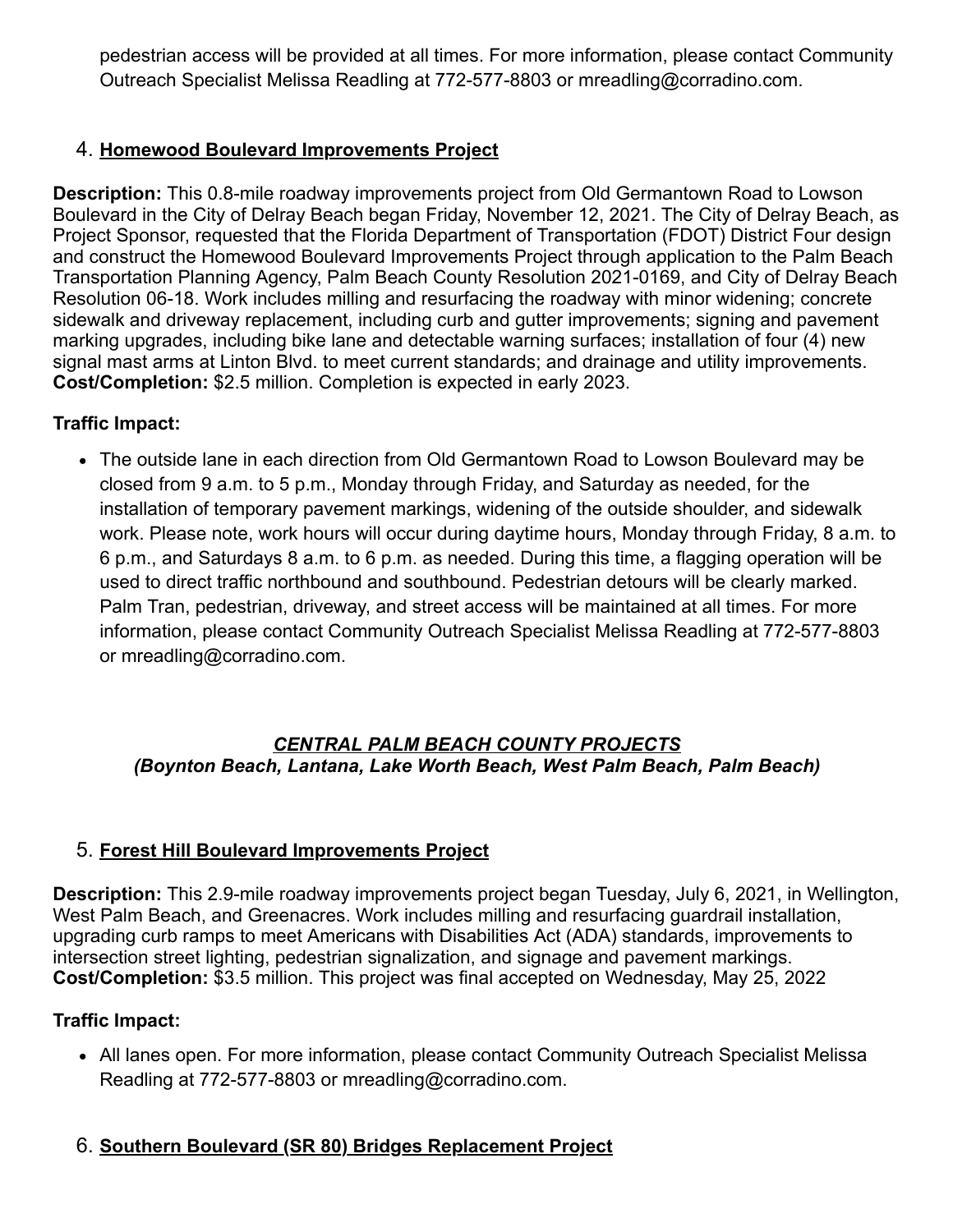pedestrian access will be provided at all times. For more information, please contact Community Outreach Specialist Melissa Readling at 772-577-8803 or [mreadling@corradino.com.](mailto:mreadling@corradino.com)

### 4. **Homewood Boulevard Improvements Project**

**Description:** This 0.8-mile roadway improvements project from Old Germantown Road to Lowson Boulevard in the City of Delray Beach began Friday, November 12, 2021. The City of Delray Beach, as Project Sponsor, requested that the Florida Department of Transportation (FDOT) District Four design and construct the Homewood Boulevard Improvements Project through application to the Palm Beach Transportation Planning Agency, Palm Beach County Resolution 2021-0169, and City of Delray Beach Resolution 06-18. Work includes milling and resurfacing the roadway with minor widening; concrete sidewalk and driveway replacement, including curb and gutter improvements; signing and pavement marking upgrades, including bike lane and detectable warning surfaces; installation of four (4) new signal mast arms at Linton Blvd. to meet current standards; and drainage and utility improvements. **Cost/Completion:** \$2.5 million. Completion is expected in early 2023.

#### **Traffic Impact:**

The outside lane in each direction from Old Germantown Road to Lowson Boulevard may be closed from 9 a.m. to 5 p.m., Monday through Friday, and Saturday as needed, for the installation of temporary pavement markings, widening of the outside shoulder, and sidewalk work. Please note, work hours will occur during daytime hours, Monday through Friday, 8 a.m. to 6 p.m., and Saturdays 8 a.m. to 6 p.m. as needed. During this time, a flagging operation will be used to direct traffic northbound and southbound. Pedestrian detours will be clearly marked. Palm Tran, pedestrian, driveway, and street access will be maintained at all times. For more information, please contact Community Outreach Specialist Melissa Readling at 772-577-8803 or [mreadling@corradino.com](mailto:mreadling@corradino.com).

#### *CENTRAL PALM BEACH COUNTY PROJECTS (Boynton Beach, Lantana, Lake Worth Beach, West Palm Beach, Palm Beach)*

### 5. **Forest Hill Boulevard Improvements Project**

**Description:** This 2.9-mile roadway improvements project began Tuesday, July 6, 2021, in Wellington, West Palm Beach, and Greenacres. Work includes milling and resurfacing guardrail installation, upgrading curb ramps to meet Americans with Disabilities Act (ADA) standards, improvements to intersection street lighting, pedestrian signalization, and signage and pavement markings. **Cost/Completion:** \$3.5 million. This project was final accepted on Wednesday, May 25, 2022

#### **Traffic Impact:**

All lanes open. For more information, please contact Community Outreach Specialist Melissa Readling at 772-577-8803 or [mreadling@corradino.com](mailto:mcruz@corradino.com).

### 6. **Southern Boulevard (SR 80) Bridges Replacement Project**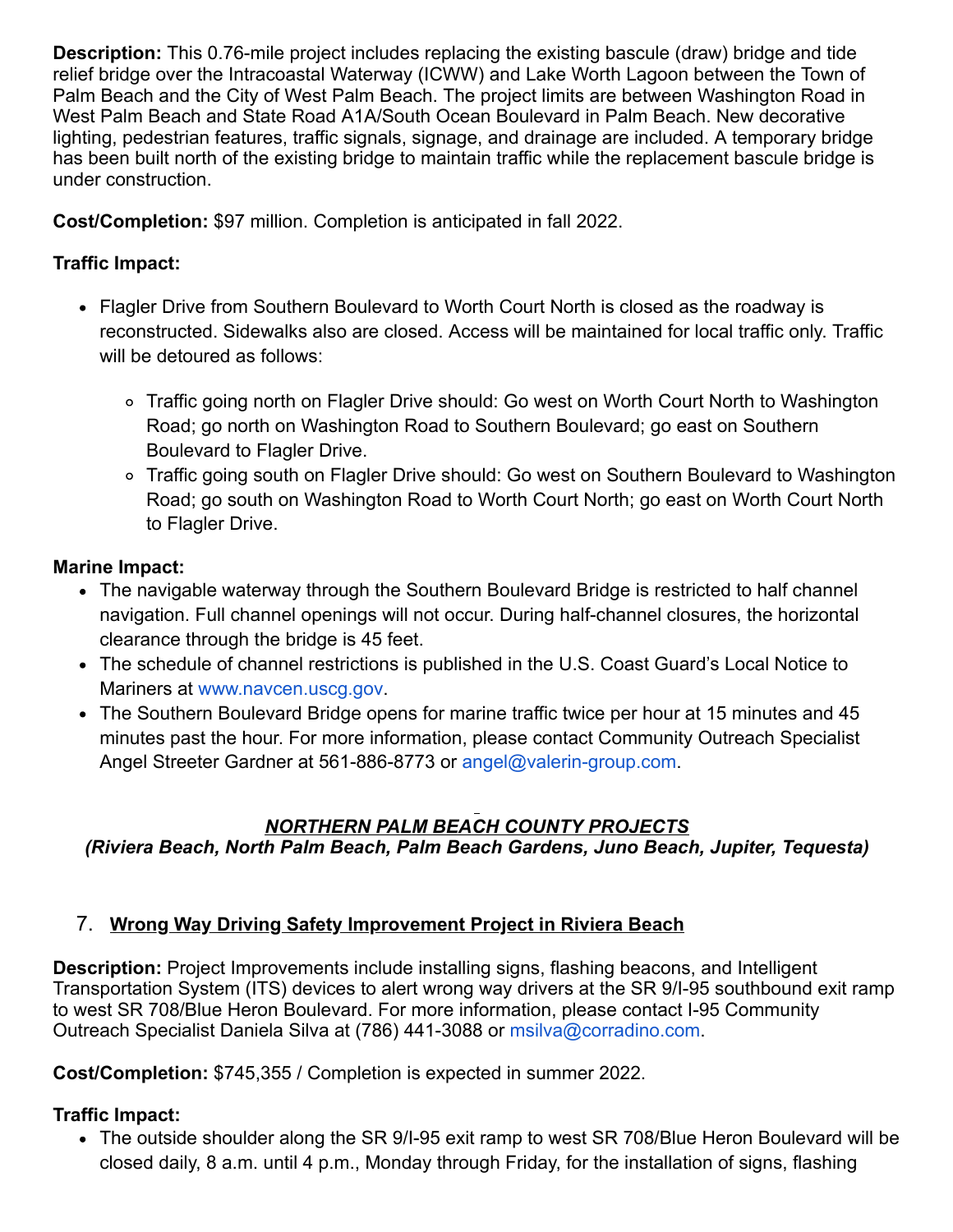**Description:** This 0.76-mile project includes replacing the existing bascule (draw) bridge and tide relief bridge over the Intracoastal Waterway (ICWW) and Lake Worth Lagoon between the Town of Palm Beach and the City of West Palm Beach. The project limits are between Washington Road in West Palm Beach and State Road A1A/South Ocean Boulevard in Palm Beach. New decorative lighting, pedestrian features, traffic signals, signage, and drainage are included. A temporary bridge has been built north of the existing bridge to maintain traffic while the replacement bascule bridge is under construction.

**Cost/Completion:** \$97 million. Completion is anticipated in fall 2022.

### **Traffic Impact:**

- Flagler Drive from Southern Boulevard to Worth Court North is closed as the roadway is reconstructed. Sidewalks also are closed. Access will be maintained for local traffic only. Traffic will be detoured as follows:
	- Traffic going north on Flagler Drive should: Go west on Worth Court North to Washington Road; go north on Washington Road to Southern Boulevard; go east on Southern Boulevard to Flagler Drive.
	- Traffic going south on Flagler Drive should: Go west on Southern Boulevard to Washington Road; go south on Washington Road to Worth Court North; go east on Worth Court North to Flagler Drive.

#### **Marine Impact:**

- The navigable waterway through the Southern Boulevard Bridge is restricted to half channel navigation. Full channel openings will not occur. During half-channel closures, the horizontal clearance through the bridge is 45 feet.
- The schedule of channel restrictions is published in the U.S. Coast Guard's Local Notice to Mariners at [www.navcen.uscg.gov](https://gcc02.safelinks.protection.outlook.com/?url=http%3A%2F%2Fwww.navcen.uscg.gov%2F&data=05%7C01%7Cguillermo.canedo%40dot.state.fl.us%7C2c216575c27e4443622008da4afc8411%7Cdb21de5dbc9c420c8f3f8f08f85b5ada%7C0%7C0%7C637904745711104045%7CUnknown%7CTWFpbGZsb3d8eyJWIjoiMC4wLjAwMDAiLCJQIjoiV2luMzIiLCJBTiI6Ik1haWwiLCJXVCI6Mn0%3D%7C3000%7C%7C%7C&sdata=xjn8Djnsf0EXYFGFF3zysLyQIiowXUPhWDT1QCVnPVI%3D&reserved=0).
- The Southern Boulevard Bridge opens for marine traffic twice per hour at 15 minutes and 45 minutes past the hour. For more information, please contact Community Outreach Specialist Angel Streeter Gardner at 561-886-8773 or [angel@valerin-group.com.](mailto:angel@valerin-group.com)

#### *NORTHERN PALM BEACH COUNTY PROJECTS (Riviera Beach, North Palm Beach, Palm Beach Gardens, Juno Beach, Jupiter, Tequesta)*

### 7. **Wrong Way Driving Safety Improvement Project in Riviera Beach**

**Description:** Project Improvements include installing signs, flashing beacons, and Intelligent Transportation System (ITS) devices to alert wrong way drivers at the SR 9/I-95 southbound exit ramp to west SR 708/Blue Heron Boulevard. For more information, please contact I-95 Community Outreach Specialist Daniela Silva at (786) 441-3088 or [msilva@corradino.com](mailto:msilva@corradino.com).

**Cost/Completion:** \$745,355 / Completion is expected in summer 2022.

### **Traffic Impact:**

The outside shoulder along the SR 9/I-95 exit ramp to west SR 708/Blue Heron Boulevard will be closed daily, 8 a.m. until 4 p.m., Monday through Friday, for the installation of signs, flashing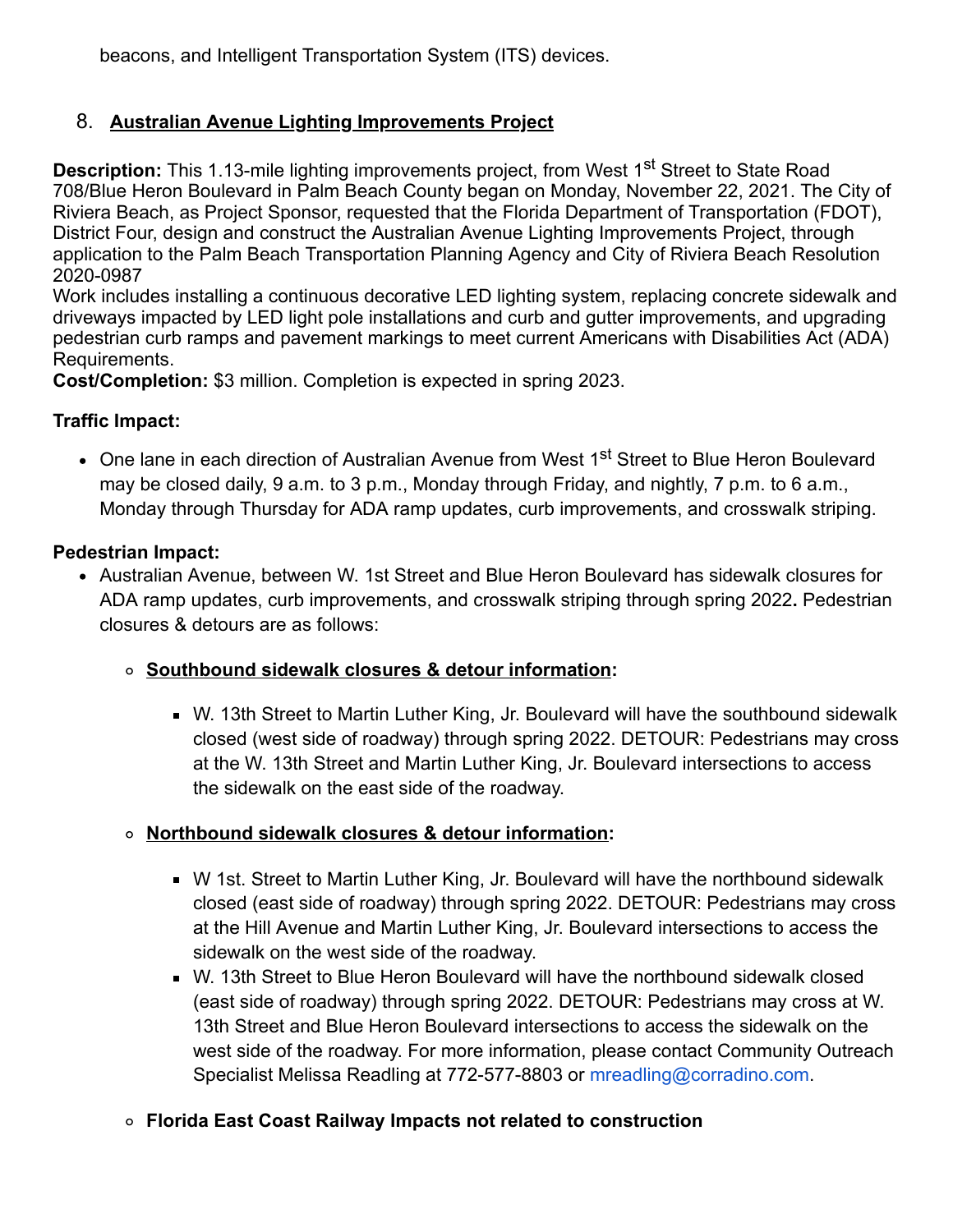beacons, and Intelligent Transportation System (ITS) devices.

### 8. **Australian Avenue Lighting Improvements Project**

**Description:** This 1.13-mile lighting improvements project, from West 1<sup>st</sup> Street to State Road 708/Blue Heron Boulevard in Palm Beach County began on Monday, November 22, 2021. The City of Riviera Beach, as Project Sponsor, requested that the Florida Department of Transportation (FDOT), District Four, design and construct the Australian Avenue Lighting Improvements Project, through application to the Palm Beach Transportation Planning Agency and City of Riviera Beach Resolution 2020-0987

Work includes installing a continuous decorative LED lighting system, replacing concrete sidewalk and driveways impacted by LED light pole installations and curb and gutter improvements, and upgrading pedestrian curb ramps and pavement markings to meet current Americans with Disabilities Act (ADA) Requirements.

**Cost/Completion:** \$3 million. Completion is expected in spring 2023.

#### **Traffic Impact:**

• One lane in each direction of Australian Avenue from West 1<sup>st</sup> Street to Blue Heron Boulevard may be closed daily, 9 a.m. to 3 p.m., Monday through Friday, and nightly, 7 p.m. to 6 a.m., Monday through Thursday for ADA ramp updates, curb improvements, and crosswalk striping.

#### **Pedestrian Impact:**

Australian Avenue, between W. 1st Street and Blue Heron Boulevard has sidewalk closures for ADA ramp updates, curb improvements, and crosswalk striping through spring 2022**.** Pedestrian closures & detours are as follows:

#### **Southbound sidewalk closures & detour information:**

W. 13th Street to Martin Luther King, Jr. Boulevard will have the southbound sidewalk closed (west side of roadway) through spring 2022. DETOUR: Pedestrians may cross at the W. 13th Street and Martin Luther King, Jr. Boulevard intersections to access the sidewalk on the east side of the roadway.

### **Northbound sidewalk closures & detour information:**

- W 1st. Street to Martin Luther King, Jr. Boulevard will have the northbound sidewalk closed (east side of roadway) through spring 2022. DETOUR: Pedestrians may cross at the Hill Avenue and Martin Luther King, Jr. Boulevard intersections to access the sidewalk on the west side of the roadway.
- W. 13th Street to Blue Heron Boulevard will have the northbound sidewalk closed (east side of roadway) through spring 2022. DETOUR: Pedestrians may cross at W. 13th Street and Blue Heron Boulevard intersections to access the sidewalk on the west side of the roadway. For more information, please contact Community Outreach Specialist Melissa Readling at 772-577-8803 or [mreadling@corradino.com](mailto:mreadling@corradino.com).
- **Florida East Coast Railway Impacts not related to construction**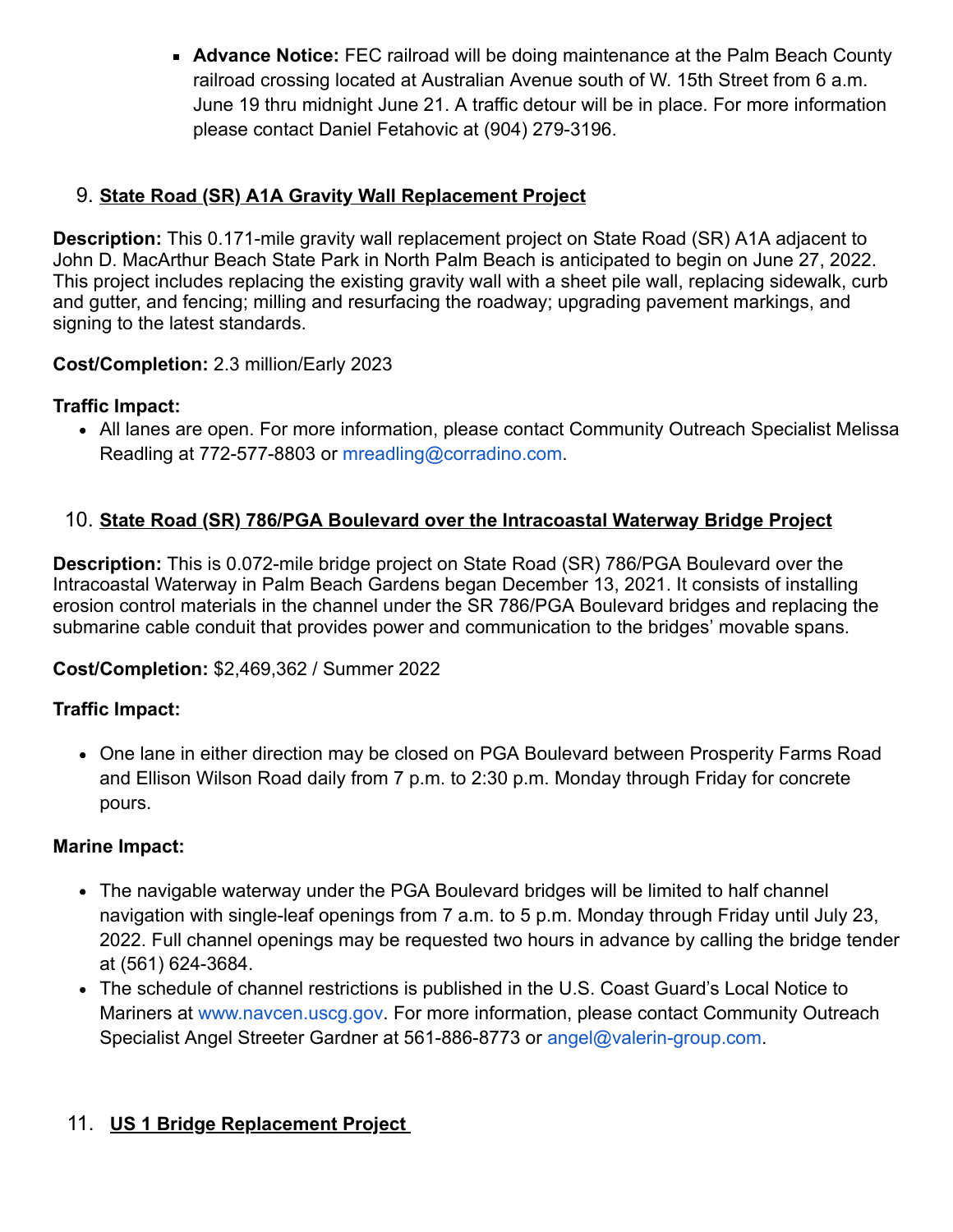**Advance Notice:** FEC railroad will be doing maintenance at the Palm Beach County railroad crossing located at Australian Avenue south of W. 15th Street from 6 a.m. June 19 thru midnight June 21. A traffic detour will be in place. For more information please contact Daniel Fetahovic at (904) 279-3196.

### 9. **State Road (SR) A1A Gravity Wall Replacement Project**

**Description:** This 0.171-mile gravity wall replacement project on State Road (SR) A1A adjacent to John D. MacArthur Beach State Park in North Palm Beach is anticipated to begin on June 27, 2022. This project includes replacing the existing gravity wall with a sheet pile wall, replacing sidewalk, curb and gutter, and fencing; milling and resurfacing the roadway; upgrading pavement markings, and signing to the latest standards.

#### **Cost/Completion:** 2.3 million/Early 2023

#### **Traffic Impact:**

All lanes are open. For more information, please contact Community Outreach Specialist Melissa Readling at 772-577-8803 or [mreadling@corradino.com](mailto:mreadling@corradino.com).

#### 10. **State Road (SR) 786/PGA Boulevard over the Intracoastal Waterway Bridge Project**

**Description:** This is 0.072-mile bridge project on State Road (SR) 786/PGA Boulevard over the Intracoastal Waterway in Palm Beach Gardens began December 13, 2021. It consists of installing erosion control materials in the channel under the SR 786/PGA Boulevard bridges and replacing the submarine cable conduit that provides power and communication to the bridges' movable spans.

#### **Cost/Completion:** \$2,469,362 / Summer 2022

#### **Traffic Impact:**

One lane in either direction may be closed on PGA Boulevard between Prosperity Farms Road and Ellison Wilson Road daily from 7 p.m. to 2:30 p.m. Monday through Friday for concrete pours.

#### **Marine Impact:**

- The navigable waterway under the PGA Boulevard bridges will be limited to half channel navigation with single-leaf openings from 7 a.m. to 5 p.m. Monday through Friday until July 23, 2022. Full channel openings may be requested two hours in advance by calling the bridge tender at (561) 624-3684.
- The schedule of channel restrictions is published in the U.S. Coast Guard's Local Notice to Mariners at [www.navcen.uscg.gov](https://gcc02.safelinks.protection.outlook.com/?url=http%3A%2F%2Fwww.navcen.uscg.gov%2F&data=05%7C01%7Cguillermo.canedo%40dot.state.fl.us%7C2c216575c27e4443622008da4afc8411%7Cdb21de5dbc9c420c8f3f8f08f85b5ada%7C0%7C0%7C637904745711104045%7CUnknown%7CTWFpbGZsb3d8eyJWIjoiMC4wLjAwMDAiLCJQIjoiV2luMzIiLCJBTiI6Ik1haWwiLCJXVCI6Mn0%3D%7C3000%7C%7C%7C&sdata=xjn8Djnsf0EXYFGFF3zysLyQIiowXUPhWDT1QCVnPVI%3D&reserved=0). For more information, please contact Community Outreach Specialist Angel Streeter Gardner at 561-886-8773 or [angel@valerin-group.com.](mailto:angel@valerin-group.com)

### 11. **US 1 Bridge Replacement Project**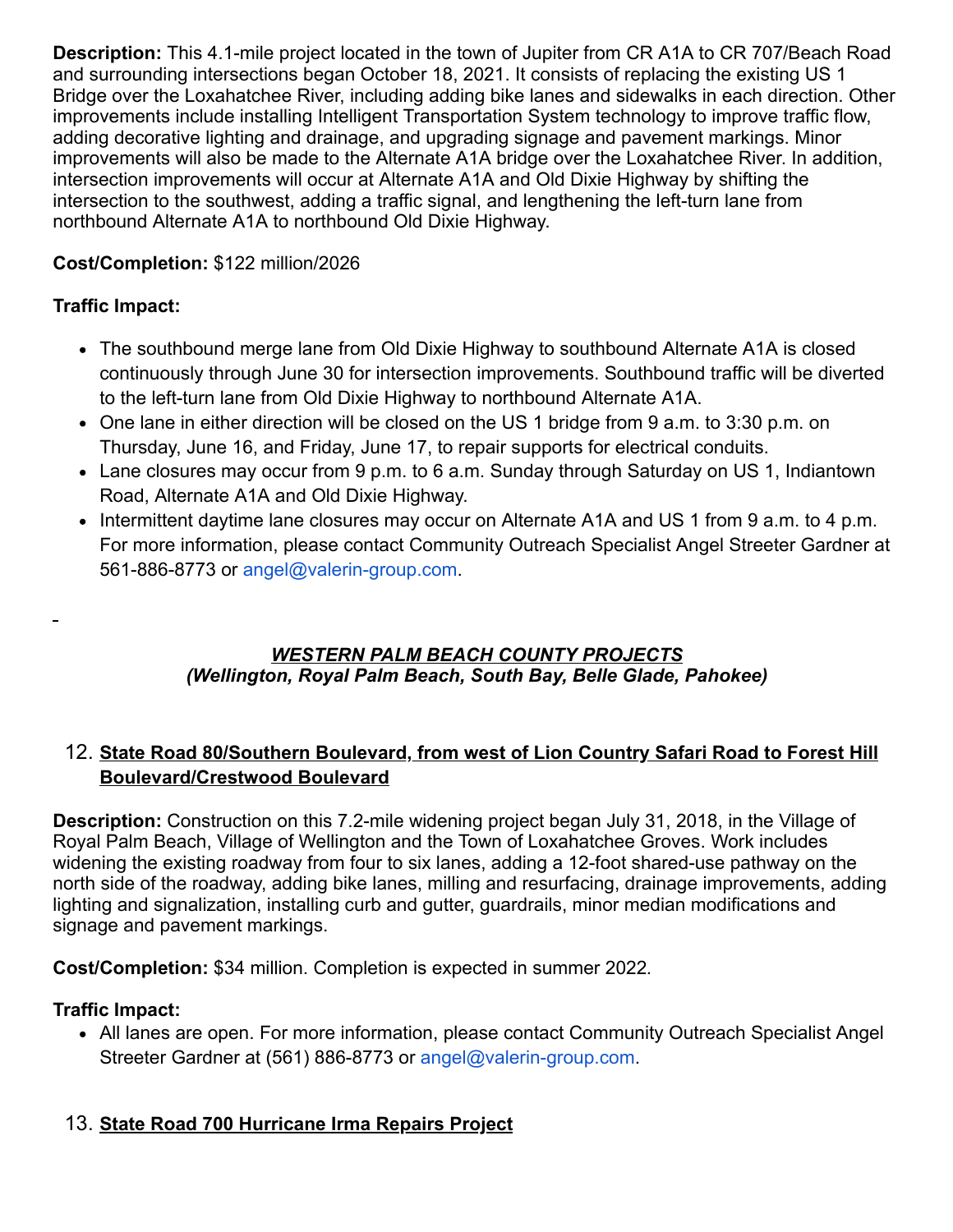**Description:** This 4.1-mile project located in the town of Jupiter from CR A1A to CR 707/Beach Road and surrounding intersections began October 18, 2021. It consists of replacing the existing US 1 Bridge over the Loxahatchee River, including adding bike lanes and sidewalks in each direction. Other improvements include installing Intelligent Transportation System technology to improve traffic flow, adding decorative lighting and drainage, and upgrading signage and pavement markings. Minor improvements will also be made to the Alternate A1A bridge over the Loxahatchee River. In addition, intersection improvements will occur at Alternate A1A and Old Dixie Highway by shifting the intersection to the southwest, adding a traffic signal, and lengthening the left-turn lane from northbound Alternate A1A to northbound Old Dixie Highway.

### **Cost/Completion:** \$122 million/2026

#### **Traffic Impact:**

- The southbound merge lane from Old Dixie Highway to southbound Alternate A1A is closed continuously through June 30 for intersection improvements. Southbound traffic will be diverted to the left-turn lane from Old Dixie Highway to northbound Alternate A1A.
- One lane in either direction will be closed on the US 1 bridge from 9 a.m. to 3:30 p.m. on Thursday, June 16, and Friday, June 17, to repair supports for electrical conduits.
- Lane closures may occur from 9 p.m. to 6 a.m. Sunday through Saturday on US 1, Indiantown Road, Alternate A1A and Old Dixie Highway.
- Intermittent daytime lane closures may occur on Alternate A1A and US 1 from 9 a.m. to 4 p.m. For more information, please contact Community Outreach Specialist Angel Streeter Gardner at 561-886-8773 or [angel@valerin-group.com.](mailto:angel@valerin-group.com)

#### *WESTERN PALM BEACH COUNTY PROJECTS (Wellington, Royal Palm Beach, South Bay, Belle Glade, Pahokee)*

#### 12. **State Road 80/Southern Boulevard, from west of Lion Country Safari Road to Forest Hill Boulevard/Crestwood Boulevard**

**Description:** Construction on this 7.2-mile widening project began July 31, 2018, in the Village of Royal Palm Beach, Village of Wellington and the Town of Loxahatchee Groves. Work includes widening the existing roadway from four to six lanes, adding a 12-foot shared-use pathway on the north side of the roadway, adding bike lanes, milling and resurfacing, drainage improvements, adding lighting and signalization, installing curb and gutter, guardrails, minor median modifications and signage and pavement markings.

**Cost/Completion:** \$34 million. Completion is expected in summer 2022*.*

#### **Traffic Impact:**

All lanes are open. For more information, please contact Community Outreach Specialist Angel Streeter Gardner at (561) 886-8773 or [angel@valerin-group.com](mailto:angel@valerin-group.com).

### 13. **State Road 700 Hurricane Irma Repairs Project**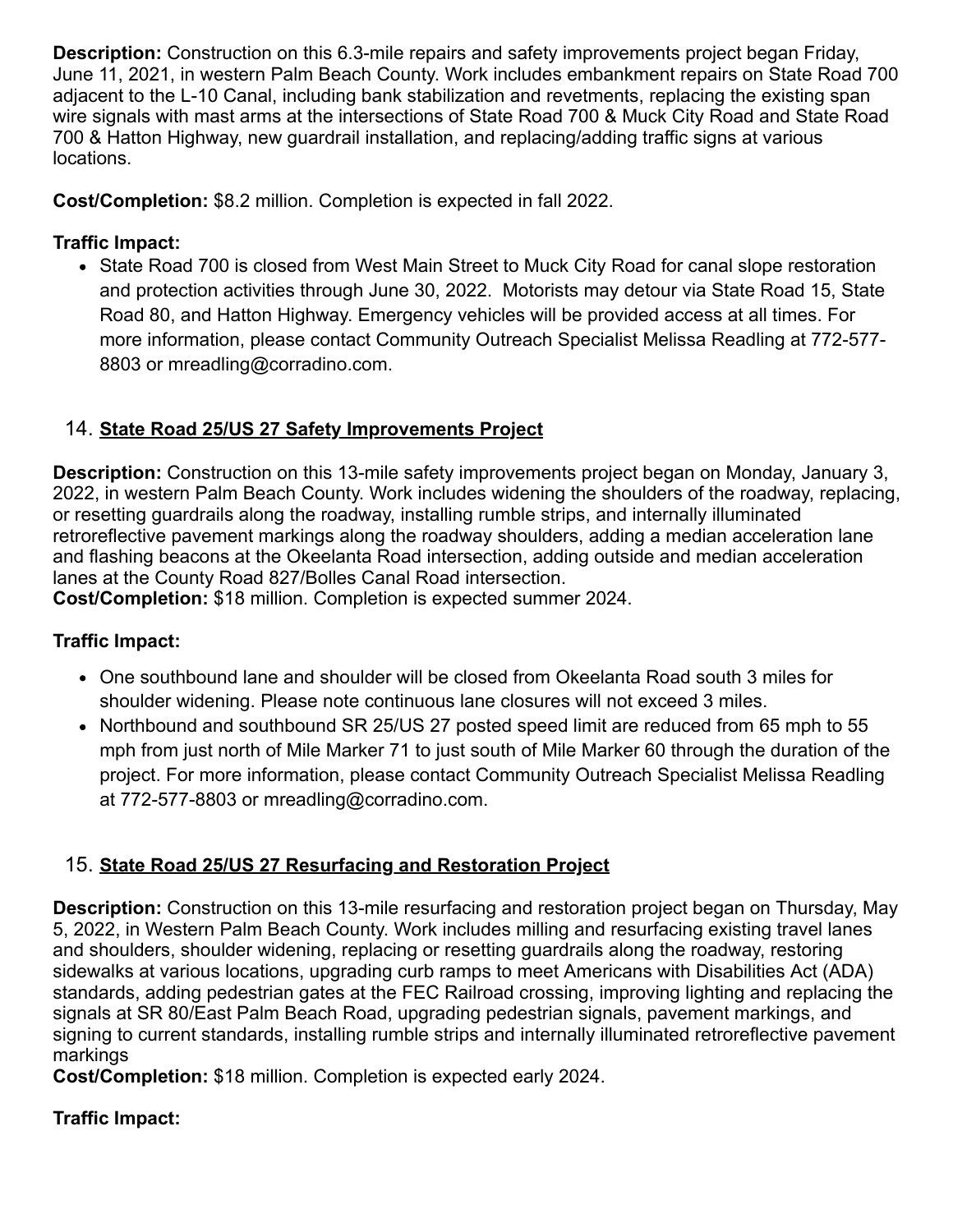**Description:** Construction on this 6.3-mile repairs and safety improvements project began Friday, June 11, 2021, in western Palm Beach County. Work includes embankment repairs on State Road 700 adjacent to the L-10 Canal, including bank stabilization and revetments, replacing the existing span wire signals with mast arms at the intersections of State Road 700 & Muck City Road and State Road 700 & Hatton Highway, new guardrail installation, and replacing/adding traffic signs at various locations.

**Cost/Completion:** \$8.2 million. Completion is expected in fall 2022.

### **Traffic Impact:**

• State Road 700 is closed from West Main Street to Muck City Road for canal slope restoration and protection activities through June 30, 2022. Motorists may detour via State Road 15, State Road 80, and Hatton Highway. Emergency vehicles will be provided access at all times. For more information, please contact Community Outreach Specialist Melissa Readling at 772-577- 8803 or [mreadling@corradino.com](mailto:mreadling@corradino.com).

# 14. **State Road 25/US 27 Safety Improvements Project**

**Description:** Construction on this 13-mile safety improvements project began on Monday, January 3, 2022, in western Palm Beach County. Work includes widening the shoulders of the roadway, replacing, or resetting guardrails along the roadway, installing rumble strips, and internally illuminated retroreflective pavement markings along the roadway shoulders, adding a median acceleration lane and flashing beacons at the Okeelanta Road intersection, adding outside and median acceleration lanes at the County Road 827/Bolles Canal Road intersection.

**Cost/Completion:** \$18 million. Completion is expected summer 2024.

# **Traffic Impact:**

- One southbound lane and shoulder will be closed from Okeelanta Road south 3 miles for shoulder widening. Please note continuous lane closures will not exceed 3 miles.
- Northbound and southbound SR 25/US 27 posted speed limit are reduced from 65 mph to 55 mph from just north of Mile Marker 71 to just south of Mile Marker 60 through the duration of the project. For more information, please contact Community Outreach Specialist Melissa Readling at 772-577-8803 or [mreadling@corradino.com](mailto:mreadling@corradino.com).

# 15. **State Road 25/US 27 Resurfacing and Restoration Project**

**Description:** Construction on this 13-mile resurfacing and restoration project began on Thursday, May 5, 2022, in Western Palm Beach County. Work includes milling and resurfacing existing travel lanes and shoulders, shoulder widening, replacing or resetting guardrails along the roadway, restoring sidewalks at various locations, upgrading curb ramps to meet Americans with Disabilities Act (ADA) standards, adding pedestrian gates at the FEC Railroad crossing, improving lighting and replacing the signals at SR 80/East Palm Beach Road, upgrading pedestrian signals, pavement markings, and signing to current standards, installing rumble strips and internally illuminated retroreflective pavement markings

**Cost/Completion:** \$18 million. Completion is expected early 2024.

### **Traffic Impact:**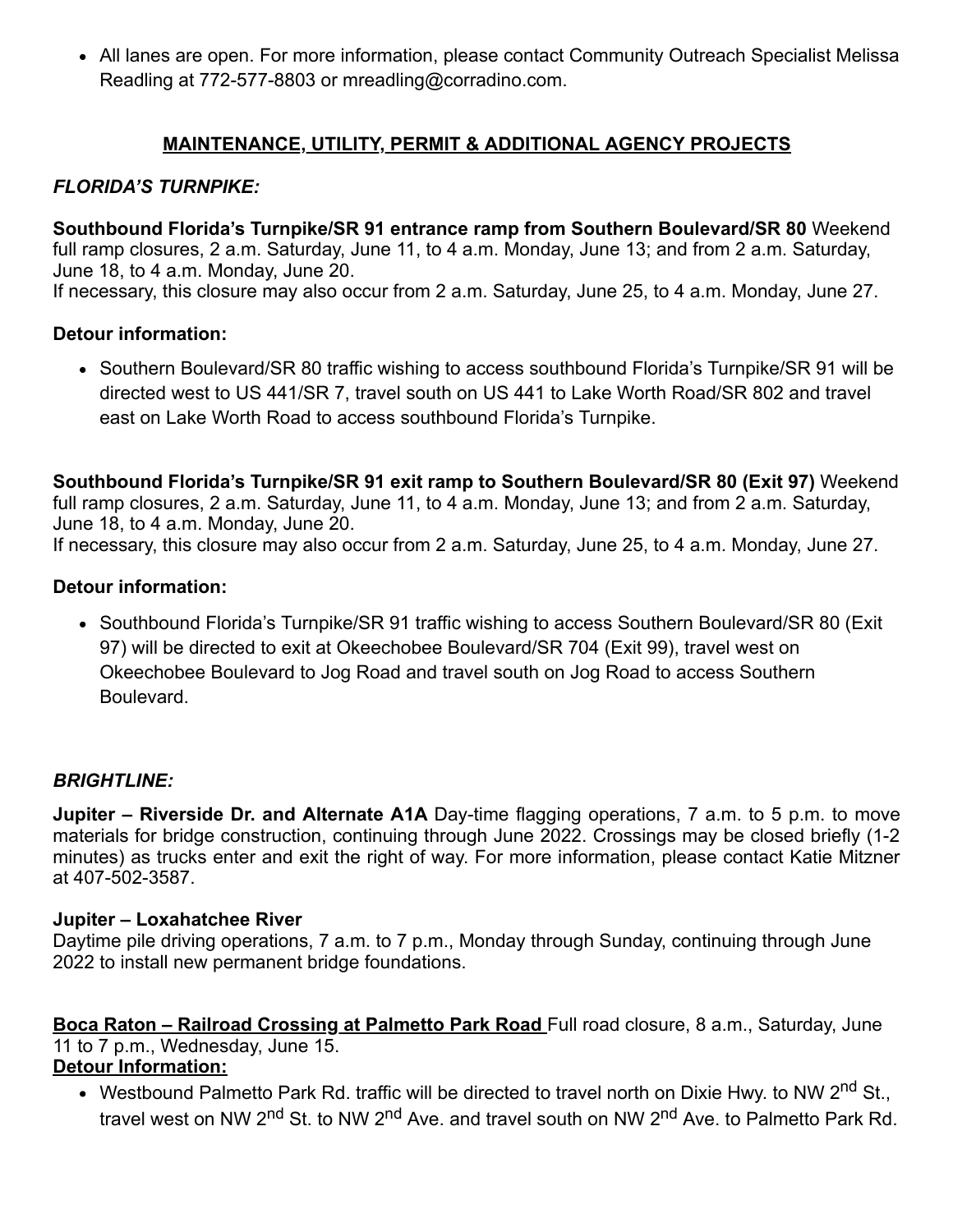• All lanes are open. For more information, please contact Community Outreach Specialist Melissa Readling at 772-577-8803 or [mreadling@corradino.com](mailto:mreadling@corradino.com).

### **MAINTENANCE, UTILITY, PERMIT & ADDITIONAL AGENCY PROJECTS**

### *FLORIDA'S TURNPIKE:*

**Southbound Florida's Turnpike/SR 91 entrance ramp from Southern Boulevard/SR 80** Weekend full ramp closures, 2 a.m. Saturday, June 11, to 4 a.m. Monday, June 13; and from 2 a.m. Saturday, June 18, to 4 a.m. Monday, June 20.

If necessary, this closure may also occur from 2 a.m. Saturday, June 25, to 4 a.m. Monday, June 27.

#### **Detour information:**

• Southern Boulevard/SR 80 traffic wishing to access southbound Florida's Turnpike/SR 91 will be directed west to US 441/SR 7, travel south on US 441 to Lake Worth Road/SR 802 and travel east on Lake Worth Road to access southbound Florida's Turnpike.

**Southbound Florida's Turnpike/SR 91 exit ramp to Southern Boulevard/SR 80 (Exit 97)** Weekend full ramp closures, 2 a.m. Saturday, June 11, to 4 a.m. Monday, June 13; and from 2 a.m. Saturday, June 18, to 4 a.m. Monday, June 20.

If necessary, this closure may also occur from 2 a.m. Saturday, June 25, to 4 a.m. Monday, June 27.

#### **Detour information:**

• Southbound Florida's Turnpike/SR 91 traffic wishing to access Southern Boulevard/SR 80 (Exit 97) will be directed to exit at Okeechobee Boulevard/SR 704 (Exit 99), travel west on Okeechobee Boulevard to Jog Road and travel south on Jog Road to access Southern Boulevard.

#### *BRIGHTLINE:*

**Jupiter – Riverside Dr. and Alternate A1A** Day-time flagging operations, 7 a.m. to 5 p.m. to move materials for bridge construction, continuing through June 2022. Crossings may be closed briefly (1-2 minutes) as trucks enter and exit the right of way. For more information, please contact Katie Mitzner at 407-502-3587.

#### **Jupiter – Loxahatchee River**

Daytime pile driving operations, 7 a.m. to 7 p.m., Monday through Sunday, continuing through June 2022 to install new permanent bridge foundations.

# **Boca Raton – Railroad Crossing at Palmetto Park Road** Full road closure, 8 a.m., Saturday, June 11 to 7 p.m., Wednesday, June 15.

- **Detour Information:**
	- Westbound Palmetto Park Rd. traffic will be directed to travel north on Dixie Hwy. to NW 2<sup>nd</sup> St., travel west on NW 2<sup>nd</sup> St. to NW 2<sup>nd</sup> Ave. and travel south on NW 2<sup>nd</sup> Ave. to Palmetto Park Rd.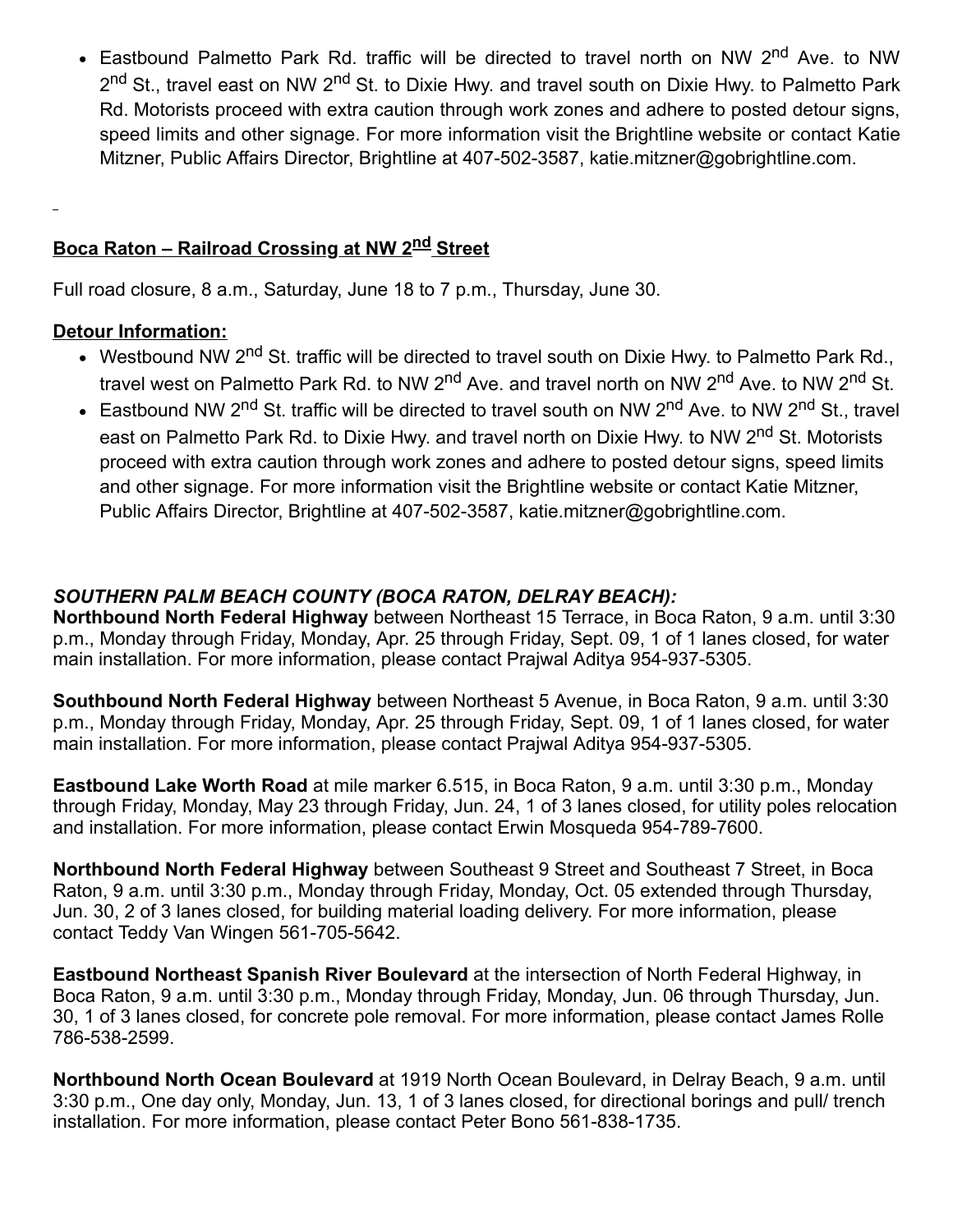Eastbound Palmetto Park Rd. traffic will be directed to travel north on NW 2<sup>nd</sup> Ave. to NW 2<sup>nd</sup> St., travel east on NW 2<sup>nd</sup> St. to Dixie Hwy. and travel south on Dixie Hwy. to Palmetto Park Rd. Motorists proceed with extra caution through work zones and adhere to posted detour signs, speed limits and other signage. For more information visit the [Brightline website](https://gcc02.safelinks.protection.outlook.com/?url=https%3A%2F%2Flinkprotect.cudasvc.com%2Furl%3Fa%3Dhttps%253a%252f%252fwww.gobrightline.com%252frailroad-construction%26c%3DE%2C1%2C3ROIRrcbOpYXZ2mJ6UEgK31Sv0WWMvcZRgWkQK9UaqsxH7xGNifA6cwQgCZ7GHDCpaO0-Tdtp8aw8YQvnrcfKIaUS7qEp9tkYAIkWTng3yX9JS5Ov5kyJC9AGpI%2C%26typo%3D1&data=05%7C01%7Cguillermo.canedo%40dot.state.fl.us%7C2c216575c27e4443622008da4afc8411%7Cdb21de5dbc9c420c8f3f8f08f85b5ada%7C0%7C0%7C637904745711104045%7CUnknown%7CTWFpbGZsb3d8eyJWIjoiMC4wLjAwMDAiLCJQIjoiV2luMzIiLCJBTiI6Ik1haWwiLCJXVCI6Mn0%3D%7C3000%7C%7C%7C&sdata=6iQ6GDeJa5csF%2BMmFMhKp7AnOhjg6HC5px0WigQmZFo%3D&reserved=0) or contact Katie Mitzner, Public Affairs Director, Brightline at 407-502-3587, [katie.mitzner@gobrightline.com](mailto:katie.mitzner@gobrightline.com).

### **Boca Raton – Railroad Crossing at NW 2nd Street**

Full road closure, 8 a.m., Saturday, June 18 to 7 p.m., Thursday, June 30.

#### **Detour Information:**

- Westbound NW 2<sup>nd</sup> St. traffic will be directed to travel south on Dixie Hwy. to Palmetto Park Rd., travel west on Palmetto Park Rd. to NW 2<sup>nd</sup> Ave. and travel north on NW 2<sup>nd</sup> Ave. to NW 2<sup>nd</sup> St.
- Eastbound NW 2<sup>nd</sup> St. traffic will be directed to travel south on NW 2<sup>nd</sup> Ave. to NW 2<sup>nd</sup> St., travel east on Palmetto Park Rd. to Dixie Hwy. and travel north on Dixie Hwy. to NW 2<sup>nd</sup> St. Motorists proceed with extra caution through work zones and adhere to posted detour signs, speed limits and other signage. For more information visit the [Brightline website](https://gcc02.safelinks.protection.outlook.com/?url=https%3A%2F%2Flinkprotect.cudasvc.com%2Furl%3Fa%3Dhttps%253a%252f%252fwww.gobrightline.com%252frailroad-construction%26c%3DE%2C1%2C3ROIRrcbOpYXZ2mJ6UEgK31Sv0WWMvcZRgWkQK9UaqsxH7xGNifA6cwQgCZ7GHDCpaO0-Tdtp8aw8YQvnrcfKIaUS7qEp9tkYAIkWTng3yX9JS5Ov5kyJC9AGpI%2C%26typo%3D1&data=05%7C01%7Cguillermo.canedo%40dot.state.fl.us%7C2c216575c27e4443622008da4afc8411%7Cdb21de5dbc9c420c8f3f8f08f85b5ada%7C0%7C0%7C637904745711260271%7CUnknown%7CTWFpbGZsb3d8eyJWIjoiMC4wLjAwMDAiLCJQIjoiV2luMzIiLCJBTiI6Ik1haWwiLCJXVCI6Mn0%3D%7C3000%7C%7C%7C&sdata=LqNFxFMV13h9%2BB8RWx%2BoGJVD5%2Fyg0CSC9vLcdY7BaX0%3D&reserved=0) or contact Katie Mitzner, Public Affairs Director, Brightline at 407-502-3587, [katie.mitzner@gobrightline.com.](mailto:katie.mitzner@gobrightline.com)

#### *SOUTHERN PALM BEACH COUNTY (BOCA RATON, DELRAY BEACH):*

**Northbound North Federal Highway** between Northeast 15 Terrace, in Boca Raton, 9 a.m. until 3:30 p.m., Monday through Friday, Monday, Apr. 25 through Friday, Sept. 09, 1 of 1 lanes closed, for water main installation. For more information, please contact Prajwal Aditya 954-937-5305.

**Southbound North Federal Highway** between Northeast 5 Avenue, in Boca Raton, 9 a.m. until 3:30 p.m., Monday through Friday, Monday, Apr. 25 through Friday, Sept. 09, 1 of 1 lanes closed, for water main installation. For more information, please contact Prajwal Aditya 954-937-5305.

**Eastbound Lake Worth Road** at mile marker 6.515, in Boca Raton, 9 a.m. until 3:30 p.m., Monday through Friday, Monday, May 23 through Friday, Jun. 24, 1 of 3 lanes closed, for utility poles relocation and installation. For more information, please contact Erwin Mosqueda 954-789-7600.

**Northbound North Federal Highway** between Southeast 9 Street and Southeast 7 Street, in Boca Raton, 9 a.m. until 3:30 p.m., Monday through Friday, Monday, Oct. 05 extended through Thursday, Jun. 30, 2 of 3 lanes closed, for building material loading delivery. For more information, please contact Teddy Van Wingen 561-705-5642.

**Eastbound Northeast Spanish River Boulevard** at the intersection of North Federal Highway, in Boca Raton, 9 a.m. until 3:30 p.m., Monday through Friday, Monday, Jun. 06 through Thursday, Jun. 30, 1 of 3 lanes closed, for concrete pole removal. For more information, please contact James Rolle 786-538-2599.

**Northbound North Ocean Boulevard** at 1919 North Ocean Boulevard, in Delray Beach, 9 a.m. until 3:30 p.m., One day only, Monday, Jun. 13, 1 of 3 lanes closed, for directional borings and pull/ trench installation. For more information, please contact Peter Bono 561-838-1735.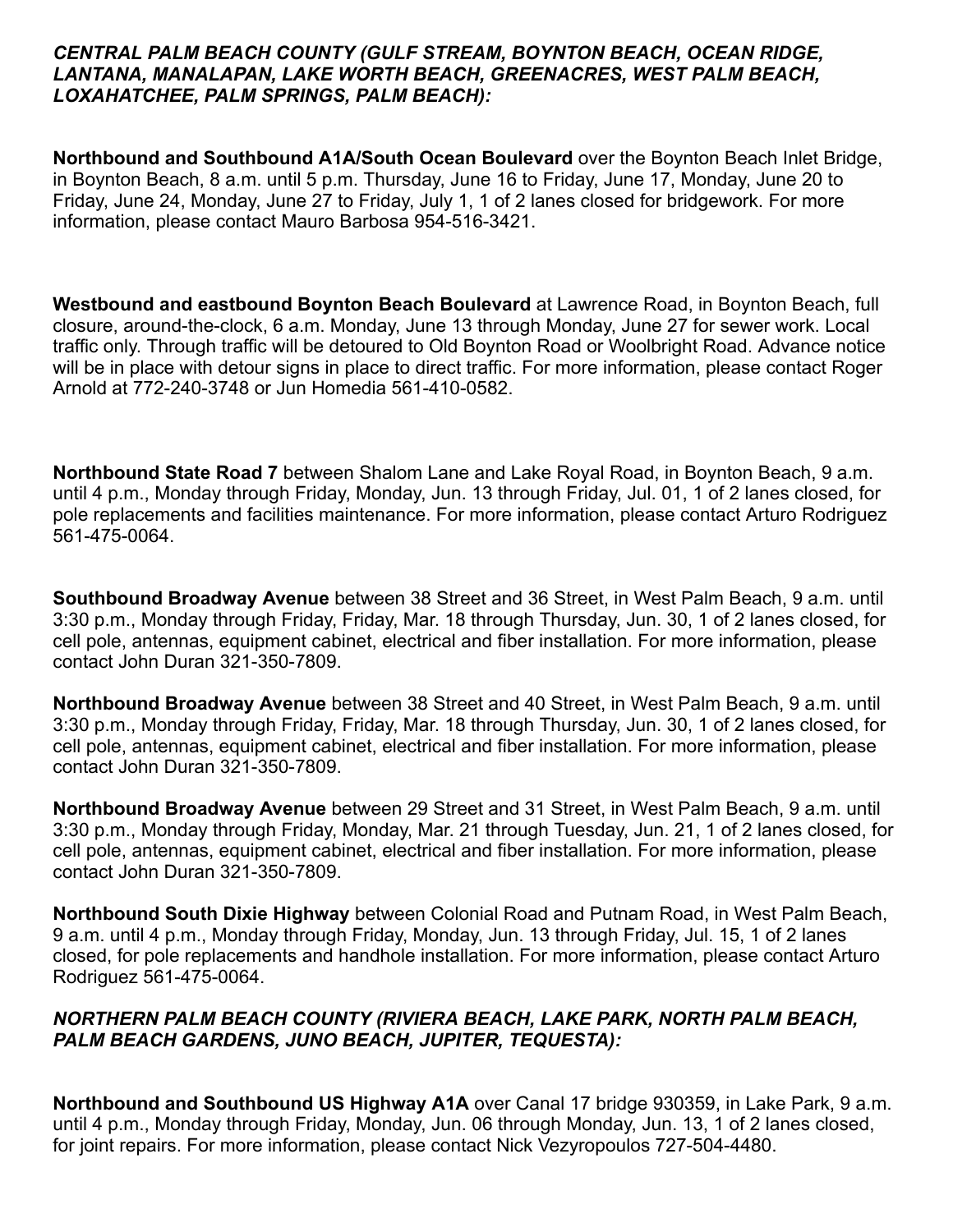#### *CENTRAL PALM BEACH COUNTY (GULF STREAM, BOYNTON BEACH, OCEAN RIDGE, LANTANA, MANALAPAN, LAKE WORTH BEACH, GREENACRES, WEST PALM BEACH, LOXAHATCHEE, PALM SPRINGS, PALM BEACH):*

**Northbound and Southbound A1A/South Ocean Boulevard** over the Boynton Beach Inlet Bridge, in Boynton Beach, 8 a.m. until 5 p.m. Thursday, June 16 to Friday, June 17, Monday, June 20 to Friday, June 24, Monday, June 27 to Friday, July 1, 1 of 2 lanes closed for bridgework. For more information, please contact Mauro Barbosa 954-516-3421.

**Westbound and eastbound Boynton Beach Boulevard** at Lawrence Road, in Boynton Beach, full closure, around-the-clock, 6 a.m. Monday, June 13 through Monday, June 27 for sewer work. Local traffic only. Through traffic will be detoured to Old Boynton Road or Woolbright Road. Advance notice will be in place with detour signs in place to direct traffic. For more information, please contact Roger Arnold at 772-240-3748 or Jun Homedia 561-410-0582.

**Northbound State Road 7** between Shalom Lane and Lake Royal Road, in Boynton Beach, 9 a.m. until 4 p.m., Monday through Friday, Monday, Jun. 13 through Friday, Jul. 01, 1 of 2 lanes closed, for pole replacements and facilities maintenance. For more information, please contact Arturo Rodriguez 561-475-0064.

**Southbound Broadway Avenue** between 38 Street and 36 Street, in West Palm Beach, 9 a.m. until 3:30 p.m., Monday through Friday, Friday, Mar. 18 through Thursday, Jun. 30, 1 of 2 lanes closed, for cell pole, antennas, equipment cabinet, electrical and fiber installation. For more information, please contact John Duran 321-350-7809.

**Northbound Broadway Avenue** between 38 Street and 40 Street, in West Palm Beach, 9 a.m. until 3:30 p.m., Monday through Friday, Friday, Mar. 18 through Thursday, Jun. 30, 1 of 2 lanes closed, for cell pole, antennas, equipment cabinet, electrical and fiber installation. For more information, please contact John Duran 321-350-7809.

**Northbound Broadway Avenue** between 29 Street and 31 Street, in West Palm Beach, 9 a.m. until 3:30 p.m., Monday through Friday, Monday, Mar. 21 through Tuesday, Jun. 21, 1 of 2 lanes closed, for cell pole, antennas, equipment cabinet, electrical and fiber installation. For more information, please contact John Duran 321-350-7809.

**Northbound South Dixie Highway** between Colonial Road and Putnam Road, in West Palm Beach, 9 a.m. until 4 p.m., Monday through Friday, Monday, Jun. 13 through Friday, Jul. 15, 1 of 2 lanes closed, for pole replacements and handhole installation. For more information, please contact Arturo Rodriguez 561-475-0064.

#### *NORTHERN PALM BEACH COUNTY (RIVIERA BEACH, LAKE PARK, NORTH PALM BEACH, PALM BEACH GARDENS, JUNO BEACH, JUPITER, TEQUESTA):*

**Northbound and Southbound US Highway A1A** over Canal 17 bridge 930359, in Lake Park, 9 a.m. until 4 p.m., Monday through Friday, Monday, Jun. 06 through Monday, Jun. 13, 1 of 2 lanes closed, for joint repairs. For more information, please contact Nick Vezyropoulos 727-504-4480.